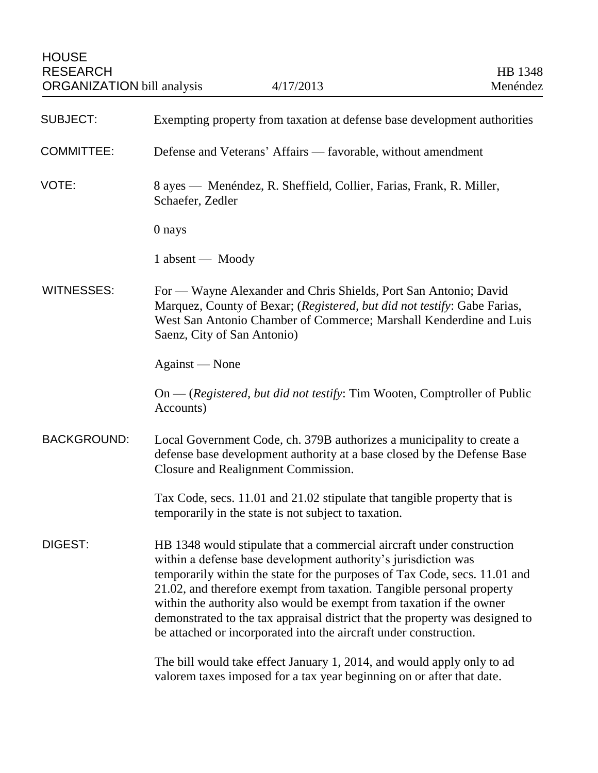| <b>SUBJECT:</b>    | Exempting property from taxation at defense base development authorities                                                                                                                                                                                                                                                                                                                                                                                                                                                    |
|--------------------|-----------------------------------------------------------------------------------------------------------------------------------------------------------------------------------------------------------------------------------------------------------------------------------------------------------------------------------------------------------------------------------------------------------------------------------------------------------------------------------------------------------------------------|
| <b>COMMITTEE:</b>  | Defense and Veterans' Affairs — favorable, without amendment                                                                                                                                                                                                                                                                                                                                                                                                                                                                |
| VOTE:              | 8 ayes — Menéndez, R. Sheffield, Collier, Farias, Frank, R. Miller,<br>Schaefer, Zedler                                                                                                                                                                                                                                                                                                                                                                                                                                     |
|                    | 0 nays                                                                                                                                                                                                                                                                                                                                                                                                                                                                                                                      |
|                    | 1 absent — Moody                                                                                                                                                                                                                                                                                                                                                                                                                                                                                                            |
| WITNESSES:         | For — Wayne Alexander and Chris Shields, Port San Antonio; David<br>Marquez, County of Bexar; (Registered, but did not testify: Gabe Farias,<br>West San Antonio Chamber of Commerce; Marshall Kenderdine and Luis<br>Saenz, City of San Antonio)                                                                                                                                                                                                                                                                           |
|                    | Against — None                                                                                                                                                                                                                                                                                                                                                                                                                                                                                                              |
|                    | $On - (registered, but did not testify: Tim Wooden, Computer of Public)$<br>Accounts)                                                                                                                                                                                                                                                                                                                                                                                                                                       |
| <b>BACKGROUND:</b> | Local Government Code, ch. 379B authorizes a municipality to create a<br>defense base development authority at a base closed by the Defense Base<br>Closure and Realignment Commission.                                                                                                                                                                                                                                                                                                                                     |
|                    | Tax Code, secs. 11.01 and 21.02 stipulate that tangible property that is<br>temporarily in the state is not subject to taxation.                                                                                                                                                                                                                                                                                                                                                                                            |
| DIGEST:            | HB 1348 would stipulate that a commercial aircraft under construction<br>within a defense base development authority's jurisdiction was<br>temporarily within the state for the purposes of Tax Code, secs. 11.01 and<br>21.02, and therefore exempt from taxation. Tangible personal property<br>within the authority also would be exempt from taxation if the owner<br>demonstrated to the tax appraisal district that the property was designed to<br>be attached or incorporated into the aircraft under construction. |
|                    | The bill would take effect January 1, 2014, and would apply only to ad<br>valorem taxes imposed for a tax year beginning on or after that date.                                                                                                                                                                                                                                                                                                                                                                             |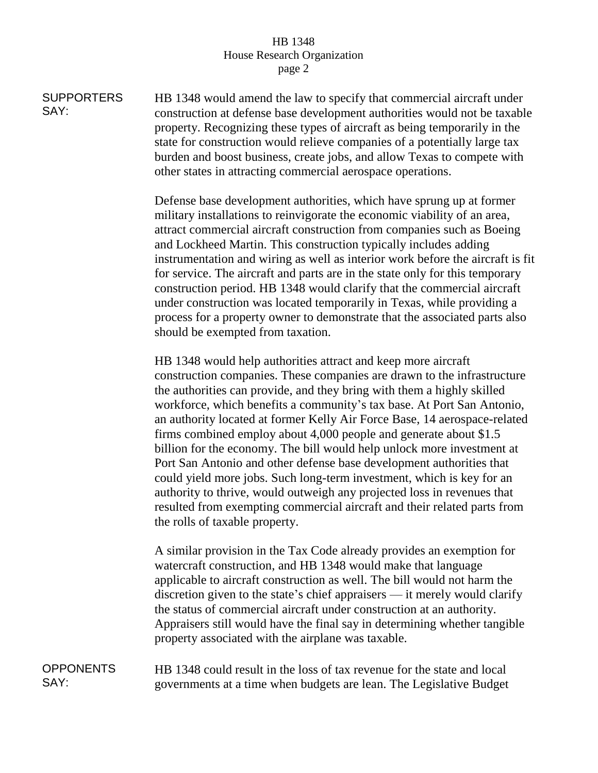## HB 1348 House Research Organization page 2

**SUPPORTERS** SAY: HB 1348 would amend the law to specify that commercial aircraft under construction at defense base development authorities would not be taxable property. Recognizing these types of aircraft as being temporarily in the state for construction would relieve companies of a potentially large tax burden and boost business, create jobs, and allow Texas to compete with other states in attracting commercial aerospace operations.

> Defense base development authorities, which have sprung up at former military installations to reinvigorate the economic viability of an area, attract commercial aircraft construction from companies such as Boeing and Lockheed Martin. This construction typically includes adding instrumentation and wiring as well as interior work before the aircraft is fit for service. The aircraft and parts are in the state only for this temporary construction period. HB 1348 would clarify that the commercial aircraft under construction was located temporarily in Texas, while providing a process for a property owner to demonstrate that the associated parts also should be exempted from taxation.

HB 1348 would help authorities attract and keep more aircraft construction companies. These companies are drawn to the infrastructure the authorities can provide, and they bring with them a highly skilled workforce, which benefits a community's tax base. At Port San Antonio, an authority located at former Kelly Air Force Base, 14 aerospace-related firms combined employ about 4,000 people and generate about \$1.5 billion for the economy. The bill would help unlock more investment at Port San Antonio and other defense base development authorities that could yield more jobs. Such long-term investment, which is key for an authority to thrive, would outweigh any projected loss in revenues that resulted from exempting commercial aircraft and their related parts from the rolls of taxable property.

A similar provision in the Tax Code already provides an exemption for watercraft construction, and HB 1348 would make that language applicable to aircraft construction as well. The bill would not harm the discretion given to the state's chief appraisers — it merely would clarify the status of commercial aircraft under construction at an authority. Appraisers still would have the final say in determining whether tangible property associated with the airplane was taxable.

**OPPONENTS** SAY: HB 1348 could result in the loss of tax revenue for the state and local governments at a time when budgets are lean. The Legislative Budget